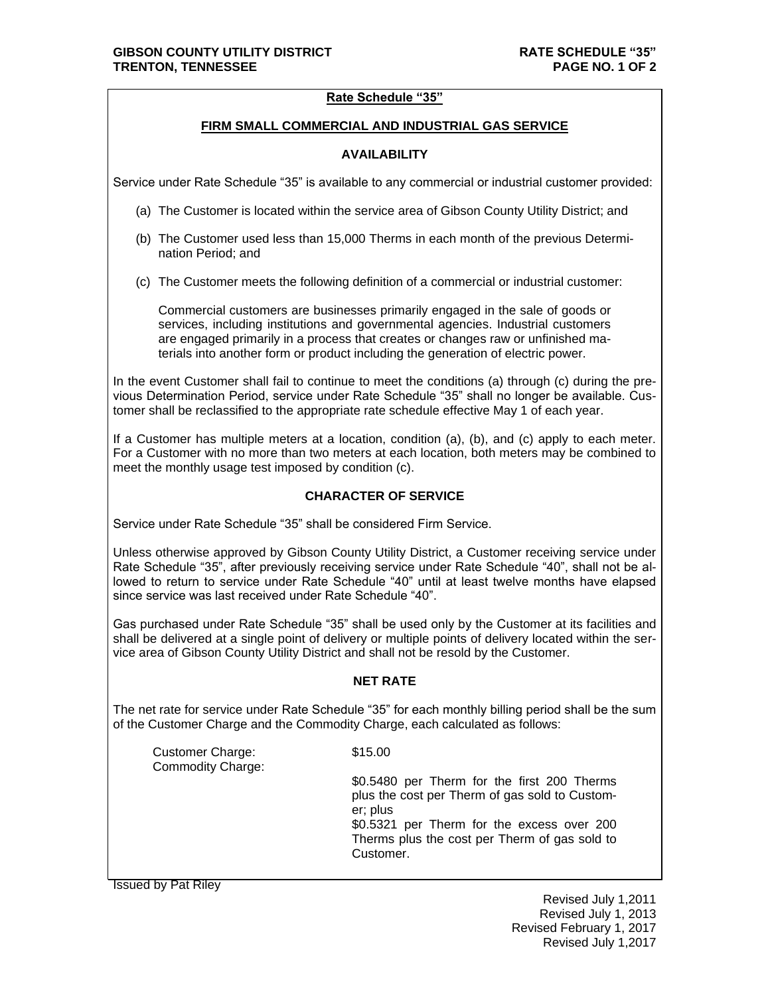# **Rate Schedule "35"**

# **FIRM SMALL COMMERCIAL AND INDUSTRIAL GAS SERVICE**

# **AVAILABILITY**

Service under Rate Schedule "35" is available to any commercial or industrial customer provided:

- (a) The Customer is located within the service area of Gibson County Utility District; and
- (b) The Customer used less than 15,000 Therms in each month of the previous Determination Period; and
- (c) The Customer meets the following definition of a commercial or industrial customer:

Commercial customers are businesses primarily engaged in the sale of goods or services, including institutions and governmental agencies. Industrial customers are engaged primarily in a process that creates or changes raw or unfinished materials into another form or product including the generation of electric power.

In the event Customer shall fail to continue to meet the conditions (a) through (c) during the previous Determination Period, service under Rate Schedule "35" shall no longer be available. Customer shall be reclassified to the appropriate rate schedule effective May 1 of each year.

If a Customer has multiple meters at a location, condition (a), (b), and (c) apply to each meter. For a Customer with no more than two meters at each location, both meters may be combined to meet the monthly usage test imposed by condition (c).

### **CHARACTER OF SERVICE**

Service under Rate Schedule "35" shall be considered Firm Service.

Unless otherwise approved by Gibson County Utility District, a Customer receiving service under Rate Schedule "35", after previously receiving service under Rate Schedule "40", shall not be allowed to return to service under Rate Schedule "40" until at least twelve months have elapsed since service was last received under Rate Schedule "40".

Gas purchased under Rate Schedule "35" shall be used only by the Customer at its facilities and shall be delivered at a single point of delivery or multiple points of delivery located within the service area of Gibson County Utility District and shall not be resold by the Customer.

# **NET RATE**

The net rate for service under Rate Schedule "35" for each monthly billing period shall be the sum of the Customer Charge and the Commodity Charge, each calculated as follows:

| Customer Charge:<br><b>Commodity Charge:</b> | \$15.00                                                                                                                                                                                                               |
|----------------------------------------------|-----------------------------------------------------------------------------------------------------------------------------------------------------------------------------------------------------------------------|
|                                              | \$0.5480 per Therm for the first 200 Therms<br>plus the cost per Therm of gas sold to Custom-<br>er; plus<br>\$0.5321 per Therm for the excess over 200<br>Therms plus the cost per Therm of gas sold to<br>Customer. |

Issued by Pat Riley

Revised July 1,2011 Revised July 1, 2013 Revised February 1, 2017 Revised July 1,2017